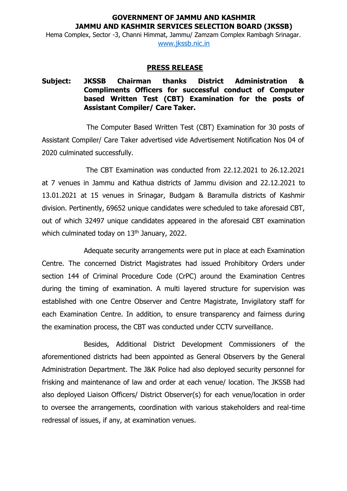## **GOVERNMENT OF JAMMU AND KASHMIR JAMMU AND KASHMIR SERVICES SELECTION BOARD (JKSSB)**

Hema Complex, Sector -3, Channi Himmat, Jammu/ Zamzam Complex Rambagh Srinagar. [www.jkssb.nic.in](http://www.jkssb.nic.in/)

## **PRESS RELEASE**

## **Subject: JKSSB Chairman thanks District Administration & Compliments Officers for successful conduct of Computer based Written Test (CBT) Examination for the posts of Assistant Compiler/ Care Taker.**

The Computer Based Written Test (CBT) Examination for 30 posts of Assistant Compiler/ Care Taker advertised vide Advertisement Notification Nos 04 of 2020 culminated successfully.

The CBT Examination was conducted from 22.12.2021 to 26.12.2021 at 7 venues in Jammu and Kathua districts of Jammu division and 22.12.2021 to 13.01.2021 at 15 venues in Srinagar, Budgam & Baramulla districts of Kashmir division. Pertinently, 69652 unique candidates were scheduled to take aforesaid CBT, out of which 32497 unique candidates appeared in the aforesaid CBT examination which culminated today on 13<sup>th</sup> January, 2022.

Adequate security arrangements were put in place at each Examination Centre. The concerned District Magistrates had issued Prohibitory Orders under section 144 of Criminal Procedure Code (CrPC) around the Examination Centres during the timing of examination. A multi layered structure for supervision was established with one Centre Observer and Centre Magistrate, Invigilatory staff for each Examination Centre. In addition, to ensure transparency and fairness during the examination process, the CBT was conducted under CCTV surveillance.

Besides, Additional District Development Commissioners of the aforementioned districts had been appointed as General Observers by the General Administration Department. The J&K Police had also deployed security personnel for frisking and maintenance of law and order at each venue/ location. The JKSSB had also deployed Liaison Officers/ District Observer(s) for each venue/location in order to oversee the arrangements, coordination with various stakeholders and real-time redressal of issues, if any, at examination venues.